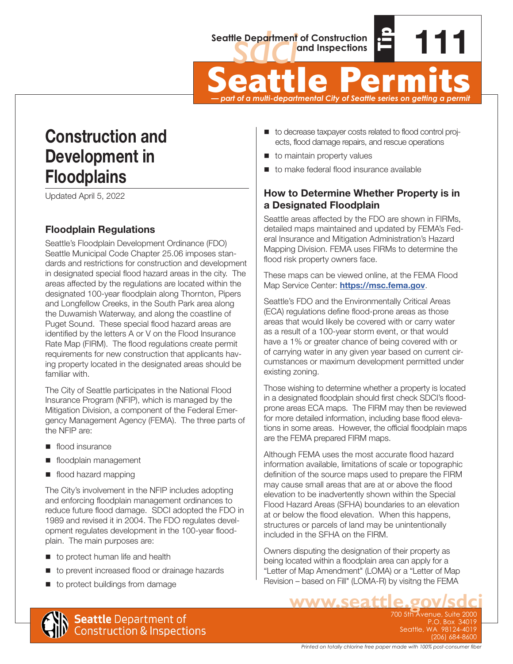

Seattle Department of Construction<br>
and Inspections<br>
Seattle Permits<br>
— part of a multi-departmental City of Seattle series on getting a permit *— part of a multi-departmental City of Seattle series on getting a permit*

# **Construction and Development in Floodplains**

Updated April 5, 2022

# **Floodplain Regulations**

Seattle's Floodplain Development Ordinance (FDO) Seattle Municipal Code Chapter 25.06 imposes standards and restrictions for construction and development in designated special flood hazard areas in the city. The areas affected by the regulations are located within the designated 100-year floodplain along Thornton, Pipers and Longfellow Creeks, in the South Park area along the Duwamish Waterway, and along the coastline of Puget Sound. These special flood hazard areas are identified by the letters A or V on the Flood Insurance Rate Map (FIRM). The flood regulations create permit requirements for new construction that applicants having property located in the designated areas should be familiar with.

The City of Seattle participates in the National Flood Insurance Program (NFIP), which is managed by the Mitigation Division, a component of the Federal Emergency Management Agency (FEMA). The three parts of the NFIP are:

- flood insurance
- **floodplain management**
- flood hazard mapping

The City's involvement in the NFIP includes adopting and enforcing floodplain management ordinances to reduce future flood damage. SDCI adopted the FDO in 1989 and revised it in 2004. The FDO regulates development regulates development in the 100-year floodplain. The main purposes are:

- to protect human life and health
- to prevent increased flood or drainage hazards
- to protect buildings from damage
- to decrease taxpayer costs related to flood control projects, flood damage repairs, and rescue operations
- **to maintain property values**
- to make federal flood insurance available

#### **How to Determine Whether Property is in a Designated Floodplain**

Seattle areas affected by the FDO are shown in FIRMs, detailed maps maintained and updated by FEMA's Federal Insurance and Mitigation Administration's Hazard Mapping Division. FEMA uses FIRMs to determine the flood risk property owners face.

These maps can be viewed online, at the FEMA Flood Map Service Center: **<https://msc.fema.gov>**.

Seattle's FDO and the Environmentally Critical Areas (ECA) regulations define flood-prone areas as those areas that would likely be covered with or carry water as a result of a 100-year storm event, or that would have a 1% or greater chance of being covered with or of carrying water in any given year based on current circumstances or maximum development permitted under existing zoning.

Those wishing to determine whether a property is located in a designated floodplain should first check SDCI's floodprone areas ECA maps. The FIRM may then be reviewed for more detailed information, including base flood elevations in some areas. However, the official floodplain maps are the FEMA prepared FIRM maps.

Although FEMA uses the most accurate flood hazard information available, limitations of scale or topographic definition of the source maps used to prepare the FIRM may cause small areas that are at or above the flood elevation to be inadvertently shown within the Special Flood Hazard Areas (SFHA) boundaries to an elevation at or below the flood elevation. When this happens, structures or parcels of land may be unintentionally included in the SFHA on the FIRM.

Owners disputing the designation of their property as being located within a floodplain area can apply for a "Letter of Map Amendment" (LOMA) or a "Letter of Map Revision – based on Fill" (LOMA-R) by visitng the FEMA

**www.seattle.gov/sdci**

700 5th Avenue, Suite 2000 P.O. Box 34019 Seattle, WA 98124-4019 (206) 684-8600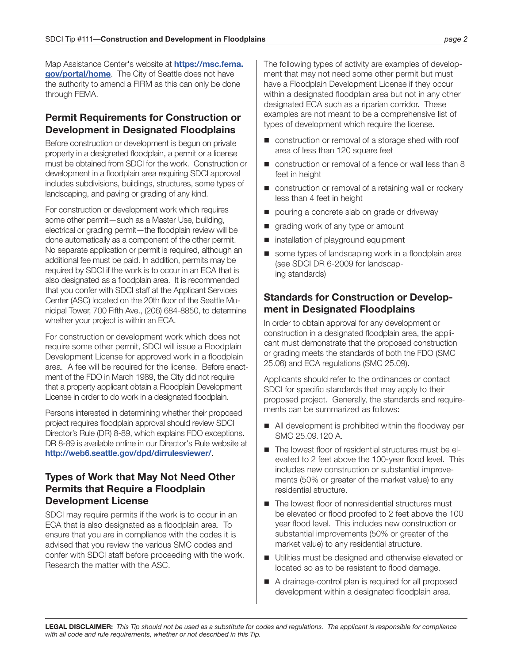Map Assistance Center's website at **[https://msc.fema.](https://msc.fema.gov/portal/home) [gov/portal/home](https://msc.fema.gov/portal/home)**. The City of Seattle does not have the authority to amend a FIRM as this can only be done through FEMA.

#### **Permit Requirements for Construction or Development in Designated Floodplains**

Before construction or development is begun on private property in a designated floodplain, a permit or a license must be obtained from SDCI for the work. Construction or development in a floodplain area requiring SDCI approval includes subdivisions, buildings, structures, some types of landscaping, and paving or grading of any kind.

For construction or development work which requires some other permit—such as a Master Use, building, electrical or grading permit—the floodplain review will be done automatically as a component of the other permit. No separate application or permit is required, although an additional fee must be paid. In addition, permits may be required by SDCI if the work is to occur in an ECA that is also designated as a floodplain area. It is recommended that you confer with SDCI staff at the Applicant Services Center (ASC) located on the 20th floor of the Seattle Municipal Tower, 700 Fifth Ave., (206) 684-8850, to determine whether your project is within an ECA.

For construction or development work which does not require some other permit, SDCI will issue a Floodplain Development License for approved work in a floodplain area. A fee will be required for the license. Before enactment of the FDO in March 1989, the City did not require that a property applicant obtain a Floodplain Development License in order to do work in a designated floodplain.

Persons interested in determining whether their proposed project requires floodplain approval should review SDCI Director's Rule (DR) 8-89, which explains FDO exceptions. DR 8-89 is available online in our Director's Rule website at **<http://web6.seattle.gov/dpd/dirrulesviewer/>**.

#### **Types of Work that May Not Need Other Permits that Require a Floodplain Development License**

SDCI may require permits if the work is to occur in an ECA that is also designated as a floodplain area. To ensure that you are in compliance with the codes it is advised that you review the various SMC codes and confer with SDCI staff before proceeding with the work. Research the matter with the ASC.

The following types of activity are examples of development that may not need some other permit but must have a Floodplain Development License if they occur within a designated floodplain area but not in any other designated ECA such as a riparian corridor. These examples are not meant to be a comprehensive list of types of development which require the license.

- construction or removal of a storage shed with roof area of less than 120 square feet
- construction or removal of a fence or wall less than 8 feet in height
- construction or removal of a retaining wall or rockery less than 4 feet in height
- pouring a concrete slab on grade or driveway
- grading work of any type or amount
- **n** installation of playground equipment
- some types of landscaping work in a floodplain area (see SDCI DR 6-2009 for landscaping standards)

#### **Standards for Construction or Development in Designated Floodplains**

In order to obtain approval for any development or construction in a designated floodplain area, the applicant must demonstrate that the proposed construction or grading meets the standards of both the FDO (SMC 25.06) and ECA regulations (SMC 25.09).

Applicants should refer to the ordinances or contact SDCI for specific standards that may apply to their proposed project. Generally, the standards and requirements can be summarized as follows:

- All development is prohibited within the floodway per SMC 25.09.120 A.
- The lowest floor of residential structures must be elevated to 2 feet above the 100-year flood level. This includes new construction or substantial improvements (50% or greater of the market value) to any residential structure.
- The lowest floor of nonresidential structures must be elevated or flood proofed to 2 feet above the 100 year flood level. This includes new construction or substantial improvements (50% or greater of the market value) to any residential structure.
- Utilities must be designed and otherwise elevated or located so as to be resistant to flood damage.
- A drainage-control plan is required for all proposed development within a designated floodplain area.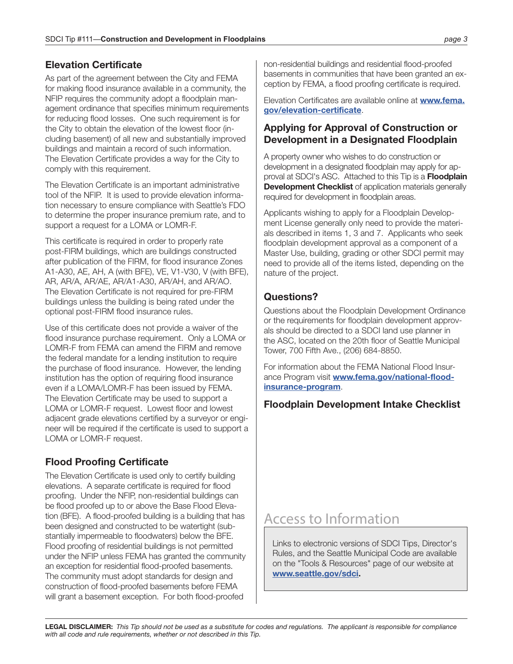#### **Elevation Certificate**

As part of the agreement between the City and FEMA for making flood insurance available in a community, the NFIP requires the community adopt a floodplain management ordinance that specifies minimum requirements for reducing flood losses. One such requirement is for the City to obtain the elevation of the lowest floor (including basement) of all new and substantially improved buildings and maintain a record of such information. The Elevation Certificate provides a way for the City to comply with this requirement.

The Elevation Certificate is an important administrative tool of the NFIP. It is used to provide elevation information necessary to ensure compliance with Seattle's FDO to determine the proper insurance premium rate, and to support a request for a LOMA or LOMR-F.

This certificate is required in order to properly rate post-FIRM buildings, which are buildings constructed after publication of the FIRM, for flood insurance Zones A1-A30, AE, AH, A (with BFE), VE, V1-V30, V (with BFE), AR, AR/A, AR/AE, AR/A1-A30, AR/AH, and AR/AO. The Elevation Certificate is not required for pre-FIRM buildings unless the building is being rated under the optional post-FIRM flood insurance rules.

Use of this certificate does not provide a waiver of the flood insurance purchase requirement. Only a LOMA or LOMR-F from FEMA can amend the FIRM and remove the federal mandate for a lending institution to require the purchase of flood insurance. However, the lending institution has the option of requiring flood insurance even if a LOMA/LOMR-F has been issued by FEMA. The Elevation Certificate may be used to support a LOMA or LOMR-F request. Lowest floor and lowest adjacent grade elevations certified by a surveyor or engineer will be required if the certificate is used to support a LOMA or LOMR-F request.

# **Flood Proofing Certificate**

The Elevation Certificate is used only to certify building elevations. A separate certificate is required for flood proofing. Under the NFIP, non-residential buildings can be flood proofed up to or above the Base Flood Elevation (BFE). A flood-proofed building is a building that has been designed and constructed to be watertight (substantially impermeable to floodwaters) below the BFE. Flood proofing of residential buildings is not permitted under the NFIP unless FEMA has granted the community an exception for residential flood-proofed basements. The community must adopt standards for design and construction of flood-proofed basements before FEMA will grant a basement exception. For both flood-proofed

non-residential buildings and residential flood-proofed basements in communities that have been granted an exception by FEMA, a flood proofing certificate is required.

Elevation Certificates are available online at **[www.fema.](http://www.fema.gov/elevation-certificate) [gov/elevation-certificate](http://www.fema.gov/elevation-certificate)**.

#### **Applying for Approval of Construction or Development in a Designated Floodplain**

A property owner who wishes to do construction or development in a designated floodplain may apply for approval at SDCI's ASC. Attached to this Tip is a **Floodplain Development Checklist** of application materials generally required for development in floodplain areas.

Applicants wishing to apply for a Floodplain Development License generally only need to provide the materials described in items 1, 3 and 7. Applicants who seek floodplain development approval as a component of a Master Use, building, grading or other SDCI permit may need to provide all of the items listed, depending on the nature of the project.

## **Questions?**

Questions about the Floodplain Development Ordinance or the requirements for floodplain development approvals should be directed to a SDCI land use planner in the ASC, located on the 20th floor of Seattle Municipal Tower, 700 Fifth Ave., (206) 684-8850.

For information about the FEMA National Flood Insurance Program visit **[www.fema.gov/national-flood](http://www.fema.gov/national-flood-insurance-program)[insurance-program](http://www.fema.gov/national-flood-insurance-program)**.

## **Floodplain Development Intake Checklist**

# Access to Information

Links to electronic versions of SDCI Tips, Director's Rules, and the Seattle Municipal Code are available on the "Tools & Resources" page of our website at **[www.seattle.gov/sdci.](http://www.seattle.gov/sdci)**

**LEGAL DISCLAIMER:** *This Tip should not be used as a substitute for codes and regulations. The applicant is responsible for compliance with all code and rule requirements, whether or not described in this Tip.*